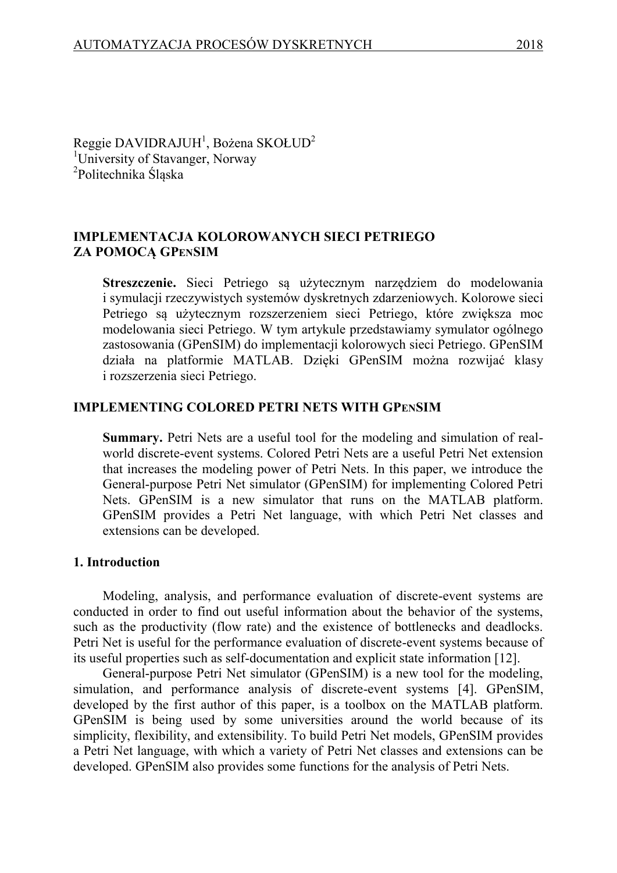Reggie DAVIDRAJUH $^1$ , Bożena SKOŁUD $^2$ <sup>1</sup>University of Stavanger, Norway <sup>2</sup>Politechnika Śląska

## **IMPLEMENTACJA KOLOROWANYCH SIECI PETRIEGO ZA POMOCĄ GPENSIM**

**Streszczenie.** Sieci Petriego są użytecznym narzędziem do modelowania i symulacji rzeczywistych systemów dyskretnych zdarzeniowych. Kolorowe sieci Petriego są użytecznym rozszerzeniem sieci Petriego, które zwiększa moc modelowania sieci Petriego. W tym artykule przedstawiamy symulator ogólnego zastosowania (GPenSIM) do implementacji kolorowych sieci Petriego. GPenSIM działa na platformie MATLAB. Dzięki GPenSIM można rozwijać klasy i rozszerzenia sieci Petriego.

#### **IMPLEMENTING COLORED PETRI NETS WITH GPENSIM**

**Summary.** Petri Nets are a useful tool for the modeling and simulation of realworld discrete-event systems. Colored Petri Nets are a useful Petri Net extension that increases the modeling power of Petri Nets. In this paper, we introduce the General-purpose Petri Net simulator (GPenSIM) for implementing Colored Petri Nets. GPenSIM is a new simulator that runs on the MATLAB platform. GPenSIM provides a Petri Net language, with which Petri Net classes and extensions can be developed.

#### **1. Introduction**

Modeling, analysis, and performance evaluation of discrete-event systems are conducted in order to find out useful information about the behavior of the systems, such as the productivity (flow rate) and the existence of bottlenecks and deadlocks. Petri Net is useful for the performance evaluation of discrete-event systems because of its useful properties such as self-documentation and explicit state information [12].

General-purpose Petri Net simulator (GPenSIM) is a new tool for the modeling, simulation, and performance analysis of discrete-event systems [4]. GPenSIM, developed by the first author of this paper, is a toolbox on the MATLAB platform. GPenSIM is being used by some universities around the world because of its simplicity, flexibility, and extensibility. To build Petri Net models, GPenSIM provides a Petri Net language, with which a variety of Petri Net classes and extensions can be developed. GPenSIM also provides some functions for the analysis of Petri Nets.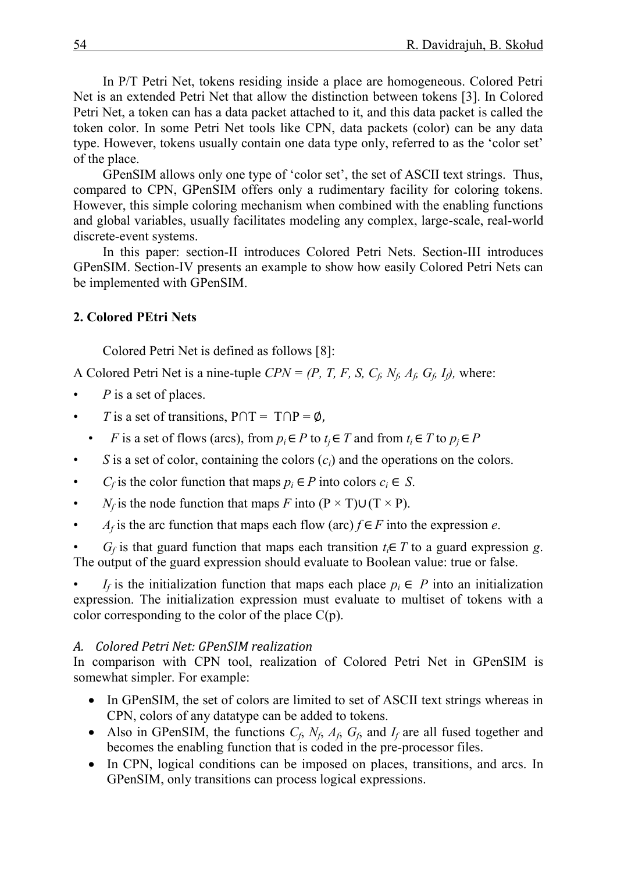In P/T Petri Net, tokens residing inside a place are homogeneous. Colored Petri Net is an extended Petri Net that allow the distinction between tokens [3]. In Colored Petri Net, a token can has a data packet attached to it, and this data packet is called the token color. In some Petri Net tools like CPN, data packets (color) can be any data type. However, tokens usually contain one data type only, referred to as the 'color set' of the place.

GPenSIM allows only one type of 'color set', the set of ASCII text strings. Thus, compared to CPN, GPenSIM offers only a rudimentary facility for coloring tokens. However, this simple coloring mechanism when combined with the enabling functions and global variables, usually facilitates modeling any complex, large-scale, real-world discrete-event systems.

In this paper: section-II introduces Colored Petri Nets. Section-III introduces GPenSIM. Section-IV presents an example to show how easily Colored Petri Nets can be implemented with GPenSIM.

## **2. Colored PEtri Nets**

Colored Petri Net is defined as follows [8]:

A Colored Petri Net is a nine-tuple  $CPN = (P, T, F, S, C_f, N_f, A_f, G_f, I_f)$ , where:

- *P* is a set of places.
- *T* is a set of transitions,  $P \cap T = T \cap P = \emptyset$ ,
	- *F* is a set of flows (arcs), from  $p_i \in P$  to  $t_i \in T$  and from  $t_i \in T$  to  $p_i \in P$
- *S* is a set of color, containing the colors (*ci*) and the operations on the colors.
- *C<sub>f</sub>* is the color function that maps  $p_i \in P$  into colors  $c_i \in S$ .
- *N<sub>f</sub>* is the node function that maps *F* into  $(P \times T) \cup (T \times P)$ .
- *A<sub>f</sub>* is the arc function that maps each flow (arc)  $f \in F$  into the expression *e*.

• *G<sub>f</sub>* is that guard function that maps each transition  $t_i \in T$  to a guard expression *g*. The output of the guard expression should evaluate to Boolean value: true or false.

• *I<sub>f</sub>* is the initialization function that maps each place  $p_i \in P$  into an initialization expression. The initialization expression must evaluate to multiset of tokens with a color corresponding to the color of the place  $C(p)$ .

# *A. Colored Petri Net: GPenSIM realization*

In comparison with CPN tool, realization of Colored Petri Net in GPenSIM is somewhat simpler. For example:

- In GPenSIM, the set of colors are limited to set of ASCII text strings whereas in CPN, colors of any datatype can be added to tokens.
- Also in GPenSIM, the functions  $C_f$ ,  $N_f$ ,  $A_f$ ,  $G_f$ , and  $I_f$  are all fused together and becomes the enabling function that is coded in the pre-processor files.
- In CPN, logical conditions can be imposed on places, transitions, and arcs. In GPenSIM, only transitions can process logical expressions.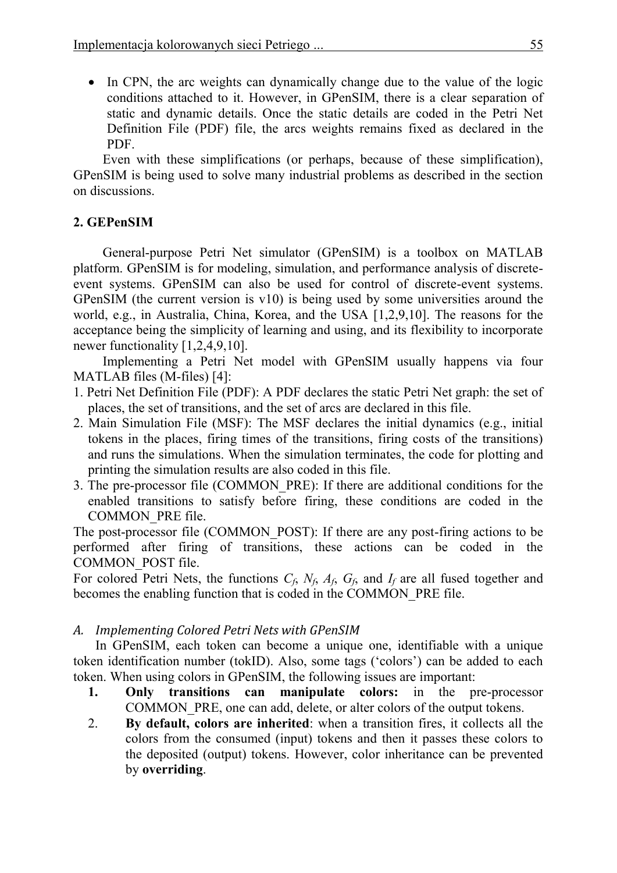• In CPN, the arc weights can dynamically change due to the value of the logic conditions attached to it. However, in GPenSIM, there is a clear separation of static and dynamic details. Once the static details are coded in the Petri Net Definition File (PDF) file, the arcs weights remains fixed as declared in the PDF.

Even with these simplifications (or perhaps, because of these simplification), GPenSIM is being used to solve many industrial problems as described in the section on discussions.

## **2. GEPenSIM**

General-purpose Petri Net simulator (GPenSIM) is a toolbox on MATLAB platform. GPenSIM is for modeling, simulation, and performance analysis of discreteevent systems. GPenSIM can also be used for control of discrete-event systems. GPenSIM (the current version is v10) is being used by some universities around the world, e.g., in Australia, China, Korea, and the USA [1,2,9,10]. The reasons for the acceptance being the simplicity of learning and using, and its flexibility to incorporate newer functionality [1,2,4,9,10].

Implementing a Petri Net model with GPenSIM usually happens via four MATLAB files (M-files) [4]:

- 1. Petri Net Definition File (PDF): A PDF declares the static Petri Net graph: the set of places, the set of transitions, and the set of arcs are declared in this file.
- 2. Main Simulation File (MSF): The MSF declares the initial dynamics (e.g., initial tokens in the places, firing times of the transitions, firing costs of the transitions) and runs the simulations. When the simulation terminates, the code for plotting and printing the simulation results are also coded in this file.
- 3. The pre-processor file (COMMON\_PRE): If there are additional conditions for the enabled transitions to satisfy before firing, these conditions are coded in the COMMON\_PRE file.

The post-processor file (COMMON\_POST): If there are any post-firing actions to be performed after firing of transitions, these actions can be coded in the COMMON\_POST file.

For colored Petri Nets, the functions  $C_f$ ,  $N_f$ ,  $A_f$ ,  $G_f$ , and  $I_f$  are all fused together and becomes the enabling function that is coded in the COMMON\_PRE file.

## *A. Implementing Colored Petri Nets with GPenSIM*

In GPenSIM, each token can become a unique one, identifiable with a unique token identification number (tokID). Also, some tags ('colors') can be added to each token. When using colors in GPenSIM, the following issues are important:

- **1. Only transitions can manipulate colors:** in the pre-processor COMMON PRE, one can add, delete, or alter colors of the output tokens.
- 2. **By default, colors are inherited**: when a transition fires, it collects all the colors from the consumed (input) tokens and then it passes these colors to the deposited (output) tokens. However, color inheritance can be prevented by **overriding**.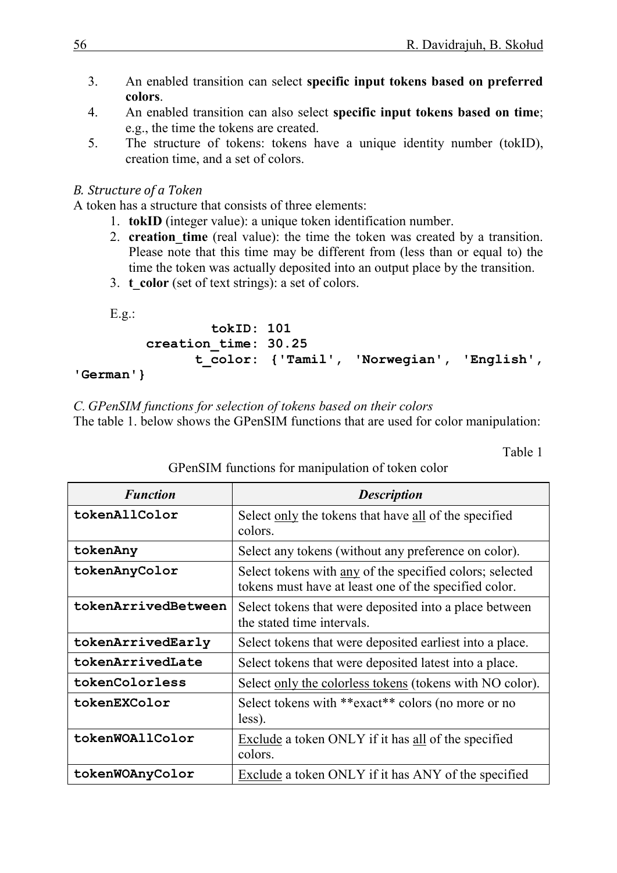- 3. An enabled transition can select **specific input tokens based on preferred colors**.
- 4. An enabled transition can also select **specific input tokens based on time**; e.g., the time the tokens are created.
- 5. The structure of tokens: tokens have a unique identity number (tokID), creation time, and a set of colors.

# *B. Structure of a Token*

A token has a structure that consists of three elements:

- 1. **tokID** (integer value): a unique token identification number.
- 2. **creation time** (real value): the time the token was created by a transition. Please note that this time may be different from (less than or equal to) the time the token was actually deposited into an output place by the transition.
- 3. **t** color (set of text strings): a set of colors.

E.g.:

```
 tokID: 101 
 creation_time: 30.25
       t_color: {'Tamil', 'Norwegian', 'English',
```
## **'German'}**

*C. GPenSIM functions for selection of tokens based on their colors*

The table 1. below shows the GPenSIM functions that are used for color manipulation:

Table 1

| <b>Function</b>     | <b>Description</b>                                                                                                |
|---------------------|-------------------------------------------------------------------------------------------------------------------|
| tokenAllColor       | Select only the tokens that have all of the specified<br>colors.                                                  |
| tokenAny            | Select any tokens (without any preference on color).                                                              |
| tokenAnyColor       | Select tokens with any of the specified colors; selected<br>tokens must have at least one of the specified color. |
| tokenArrivedBetween | Select tokens that were deposited into a place between<br>the stated time intervals.                              |
| tokenArrivedEarly   | Select tokens that were deposited earliest into a place.                                                          |
| tokenArrivedLate    | Select tokens that were deposited latest into a place.                                                            |
| tokenColorless      | Select only the colorless tokens (tokens with NO color).                                                          |
| tokenEXColor        | Select tokens with **exact** colors (no more or no<br>less).                                                      |
| tokenWOAllColor     | Exclude a token ONLY if it has all of the specified<br>colors.                                                    |
| tokenWOAnyColor     | Exclude a token ONLY if it has ANY of the specified                                                               |

# GPenSIM functions for manipulation of token color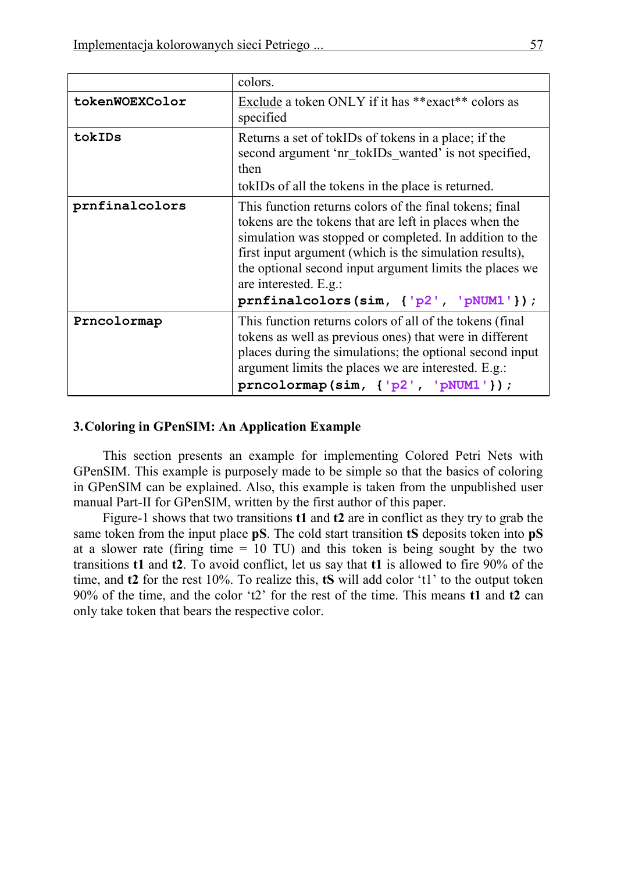|                | colors.                                                                                                                                                                                                                                                                                                                                                                                                             |
|----------------|---------------------------------------------------------------------------------------------------------------------------------------------------------------------------------------------------------------------------------------------------------------------------------------------------------------------------------------------------------------------------------------------------------------------|
| tokenWOEXColor | Exclude a token ONLY if it has **exact** colors as<br>specified                                                                                                                                                                                                                                                                                                                                                     |
| tokIDs         | Returns a set of tokIDs of tokens in a place; if the<br>second argument 'nr tokIDs wanted' is not specified,<br>then                                                                                                                                                                                                                                                                                                |
|                | tokIDs of all the tokens in the place is returned.                                                                                                                                                                                                                                                                                                                                                                  |
| prnfinalcolors | This function returns colors of the final tokens; final<br>tokens are the tokens that are left in places when the<br>simulation was stopped or completed. In addition to the<br>first input argument (which is the simulation results),<br>the optional second input argument limits the places we<br>are interested. E.g.:<br>$prnfinalcolors(\text{sim}, {^{\dagger}p2^{\dagger}}, {^{\dagger}pNUM1^{\dagger}});$ |
| Prncolormap    | This function returns colors of all of the tokens (final<br>tokens as well as previous ones) that were in different<br>places during the simulations; the optional second input<br>argument limits the places we are interested. E.g.:<br>$prncolormap(sim, { 'p2', 'pNUM1' })$ ;                                                                                                                                   |

### **3.Coloring in GPenSIM: An Application Example**

This section presents an example for implementing Colored Petri Nets with GPenSIM. This example is purposely made to be simple so that the basics of coloring in GPenSIM can be explained. Also, this example is taken from the unpublished user manual Part-II for GPenSIM, written by the first author of this paper.

Figure-1 shows that two transitions **t1** and **t2** are in conflict as they try to grab the same token from the input place **pS**. The cold start transition **tS** deposits token into **pS** at a slower rate (firing time  $= 10$  TU) and this token is being sought by the two transitions **t1** and **t2**. To avoid conflict, let us say that **t1** is allowed to fire 90% of the time, and **t2** for the rest 10%. To realize this, **tS** will add color 't1' to the output token 90% of the time, and the color 't2' for the rest of the time. This means **t1** and **t2** can only take token that bears the respective color.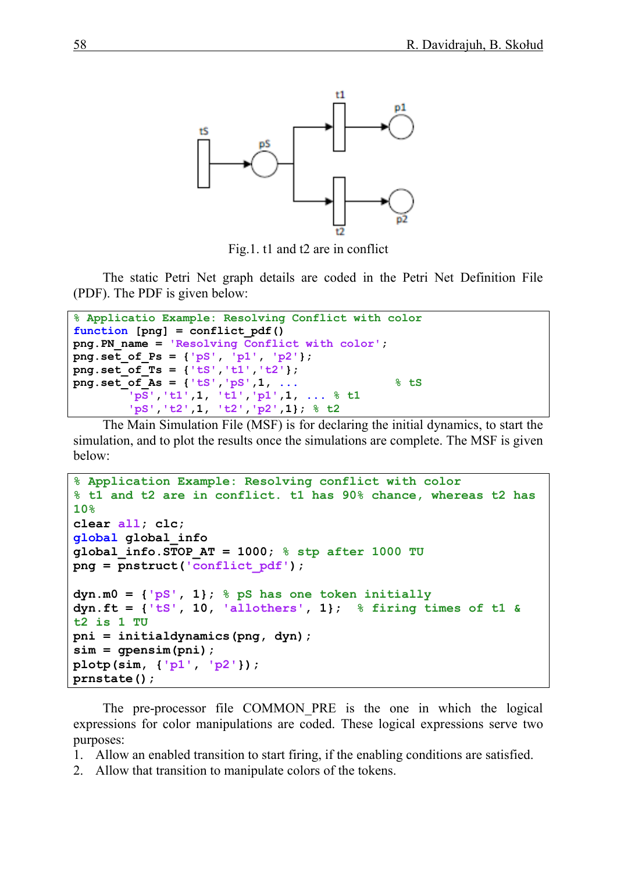

Fig.1. t1 and t2 are in conflict

The static Petri Net graph details are coded in the Petri Net Definition File (PDF). The PDF is given below:

```
% Applicatio Example: Resolving Conflict with color
function [png] = conflict_pdf() 
png.PN_name = 'Resolving Conflict with color';
png.set_of_Ps = {'pS', 'p1', 'p2'};
png.set_of_Ts = {'tS','t1','t2'}; 
png.set_of_As = {'tS','pS',1, ... % tS
         'pS','t1',1, 't1','p1',1, ... % t1 
         'pS','t2',1, 't2','p2',1}; % t2
```
The Main Simulation File (MSF) is for declaring the initial dynamics, to start the simulation, and to plot the results once the simulations are complete. The MSF is given below:

```
% Application Example: Resolving conflict with color
% t1 and t2 are in conflict. t1 has 90% chance, whereas t2 has 
10%
clear all; clc;
global global_info
global_info.STOP_AT = 1000; % stp after 1000 TU
png = pnstruct('conflict_pdf');
dyn.m0 = {'pS', 1}; % pS has one token initially
dyn.ft = {'tS', 10, 'allothers', 1}; % firing times of t1 & 
t2 is 1 TU
pni = initialdynamics(png, dyn);
sim = gpensim(pni);
plotp(sim, {'p1', 'p2'}); 
prnstate();
```
The pre-processor file COMMON PRE is the one in which the logical expressions for color manipulations are coded. These logical expressions serve two purposes:

- 1. Allow an enabled transition to start firing, if the enabling conditions are satisfied.
- 2. Allow that transition to manipulate colors of the tokens.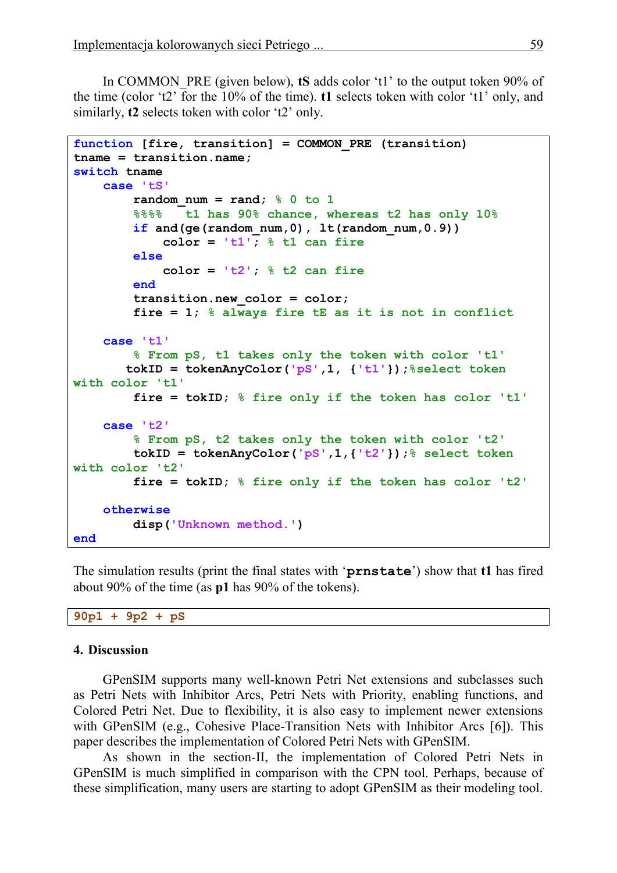In COMMON\_PRE (given below), **tS** adds color 't1' to the output token 90% of the time (color 't2' for the 10% of the time). **t1** selects token with color 't1' only, and similarly, **t2** selects token with color 't2' only.

```
function [fire, transition] = COMMON_PRE (transition)
tname = transition.name;
switch tname
     case 'tS'
        random num = rand; % 0 to 1
         %%%% t1 has 90% chance, whereas t2 has only 10%
         if and(ge(random_num,0), lt(random_num,0.9))
             color = 't1'; % t1 can fire
         else
             color = 't2'; % t2 can fire
         end
         transition.new_color = color;
         fire = 1; % always fire tE as it is not in conflict
     case 't1'
         % From pS, t1 takes only the token with color 't1' 
        tokID = tokenAnyColor('pS',1, {'t1'});%select token 
with color 't1'
         fire = tokID; % fire only if the token has color 't1'
     case 't2'
         % From pS, t2 takes only the token with color 't2'
         tokID = tokenAnyColor('pS',1,{'t2'});% select token 
with color 't2'
         fire = tokID; % fire only if the token has color 't2'
     otherwise
         disp('Unknown method.')
end
```
The simulation results (print the final states with '**prnstate**') show that **t1** has fired about 90% of the time (as **p1** has 90% of the tokens).

**90p1 + 9p2 + pS**

#### **4. Discussion**

GPenSIM supports many well-known Petri Net extensions and subclasses such as Petri Nets with Inhibitor Arcs, Petri Nets with Priority, enabling functions, and Colored Petri Net. Due to flexibility, it is also easy to implement newer extensions with GPenSIM (e.g., Cohesive Place-Transition Nets with Inhibitor Arcs [6]). This paper describes the implementation of Colored Petri Nets with GPenSIM.

As shown in the section-II, the implementation of Colored Petri Nets in GPenSIM is much simplified in comparison with the CPN tool. Perhaps, because of these simplification, many users are starting to adopt GPenSIM as their modeling tool.